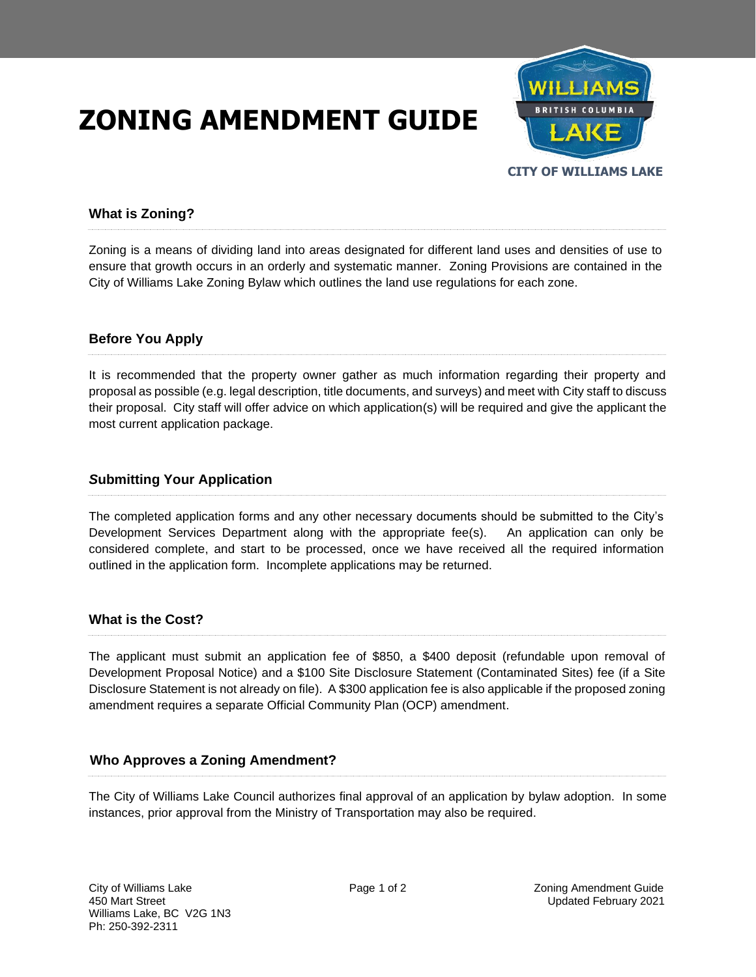# **ZONING AMENDMENT GUIDE**



## **What is Zoning?**

Zoning is a means of dividing land into areas designated for different land uses and densities of use to ensure that growth occurs in an orderly and systematic manner. Zoning Provisions are contained in the City of Williams Lake Zoning Bylaw which outlines the land use regulations for each zone.

### **Before You Apply**

It is recommended that the property owner gather as much information regarding their property and proposal as possible (e.g. legal description, title documents, and surveys) and meet with City staff to discuss their proposal. City staff will offer advice on which application(s) will be required and give the applicant the most current application package.

#### *S***ubmitting Your Application**

The completed application forms and any other necessary documents should be submitted to the City's Development Services Department along with the appropriate fee(s). An application can only be considered complete, and start to be processed, once we have received all the required information outlined in the application form. Incomplete applications may be returned.

#### **What is the Cost?**

The applicant must submit an application fee of \$850, a \$400 deposit (refundable upon removal of Development Proposal Notice) and a \$100 Site Disclosure Statement (Contaminated Sites) fee (if a Site Disclosure Statement is not already on file). A \$300 application fee is also applicable if the proposed zoning amendment requires a separate Official Community Plan (OCP) amendment.

#### **Who Approves a Zoning Amendment?**

The City of Williams Lake Council authorizes final approval of an application by bylaw adoption. In some instances, prior approval from the Ministry of Transportation may also be required.